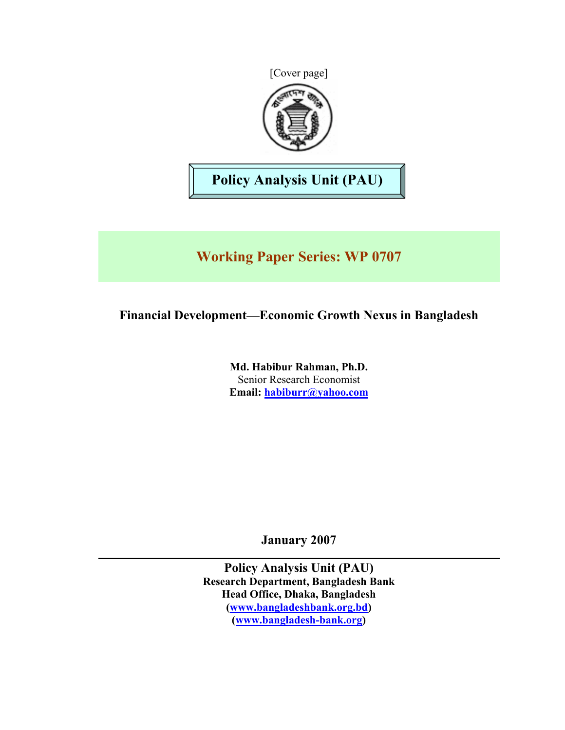[Cover page]



**Policy Analysis Unit (PAU)** 

# **Working Paper Series: WP 0707**

## **Financial Development—Economic Growth Nexus in Bangladesh**

**Md. Habibur Rahman, Ph.D.**  Senior Research Economist **Email: [habiburr@yahoo.com](mailto:habiburr@yahho.com)**

**January 2007** 

**Policy Analysis Unit (PAU) Research Department, Bangladesh Bank Head Office, Dhaka, Bangladesh [\(www.bangladeshbank.org.bd\)](http://www.bangladeshbank.org.bd/) [\(www.bangladesh-bank.org\)](http://www.bangladesh-bank.org/)**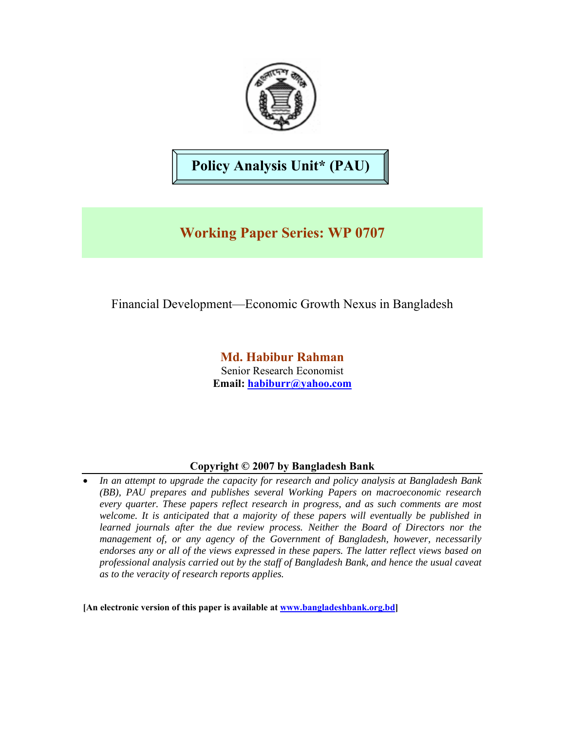

# **Policy Analysis Unit\* (PAU)**

## **Working Paper Series: WP 0707**

## Financial Development—Economic Growth Nexus in Bangladesh

**Md. Habibur Rahman**  Senior Research Economist **Email: [habiburr@yahoo.com](mailto:habiburr@yahho.com)**

## **Copyright © 2007 by Bangladesh Bank**

• *In an attempt to upgrade the capacity for research and policy analysis at Bangladesh Bank (BB), PAU prepares and publishes several Working Papers on macroeconomic research every quarter. These papers reflect research in progress, and as such comments are most welcome. It is anticipated that a majority of these papers will eventually be published in learned journals after the due review process. Neither the Board of Directors nor the management of, or any agency of the Government of Bangladesh, however, necessarily endorses any or all of the views expressed in these papers. The latter reflect views based on professional analysis carried out by the staff of Bangladesh Bank, and hence the usual caveat as to the veracity of research reports applies.* 

**[An electronic version of this paper is available at [www.bangladeshbank.org.bd](http://www.bangladeshbank.org.bd/)]**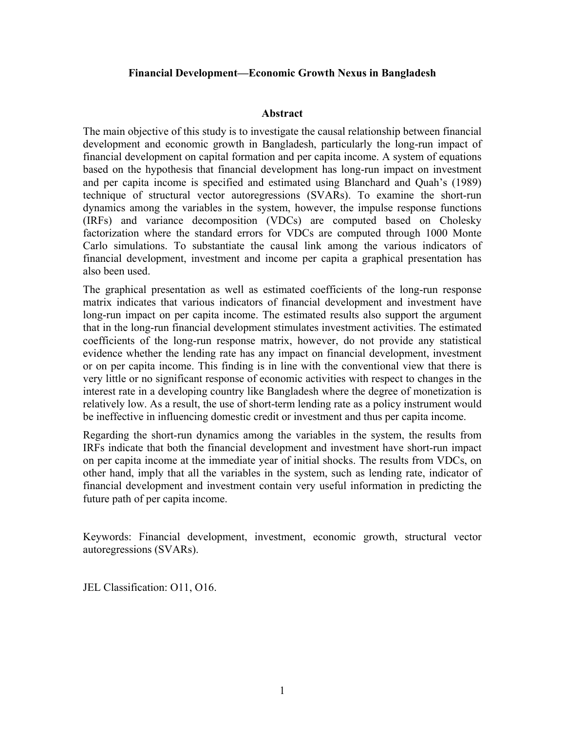### **Financial Development—Economic Growth Nexus in Bangladesh**

### **Abstract**

The main objective of this study is to investigate the causal relationship between financial development and economic growth in Bangladesh, particularly the long-run impact of financial development on capital formation and per capita income. A system of equations based on the hypothesis that financial development has long-run impact on investment and per capita income is specified and estimated using Blanchard and Quah's (1989) technique of structural vector autoregressions (SVARs). To examine the short-run dynamics among the variables in the system, however, the impulse response functions (IRFs) and variance decomposition (VDCs) are computed based on Cholesky factorization where the standard errors for VDCs are computed through 1000 Monte Carlo simulations. To substantiate the causal link among the various indicators of financial development, investment and income per capita a graphical presentation has also been used.

The graphical presentation as well as estimated coefficients of the long-run response matrix indicates that various indicators of financial development and investment have long-run impact on per capita income. The estimated results also support the argument that in the long-run financial development stimulates investment activities. The estimated coefficients of the long-run response matrix, however, do not provide any statistical evidence whether the lending rate has any impact on financial development, investment or on per capita income. This finding is in line with the conventional view that there is very little or no significant response of economic activities with respect to changes in the interest rate in a developing country like Bangladesh where the degree of monetization is relatively low. As a result, the use of short-term lending rate as a policy instrument would be ineffective in influencing domestic credit or investment and thus per capita income.

Regarding the short-run dynamics among the variables in the system, the results from IRFs indicate that both the financial development and investment have short-run impact on per capita income at the immediate year of initial shocks. The results from VDCs, on other hand, imply that all the variables in the system, such as lending rate, indicator of financial development and investment contain very useful information in predicting the future path of per capita income.

Keywords: Financial development, investment, economic growth, structural vector autoregressions (SVARs).

JEL Classification: O11, O16.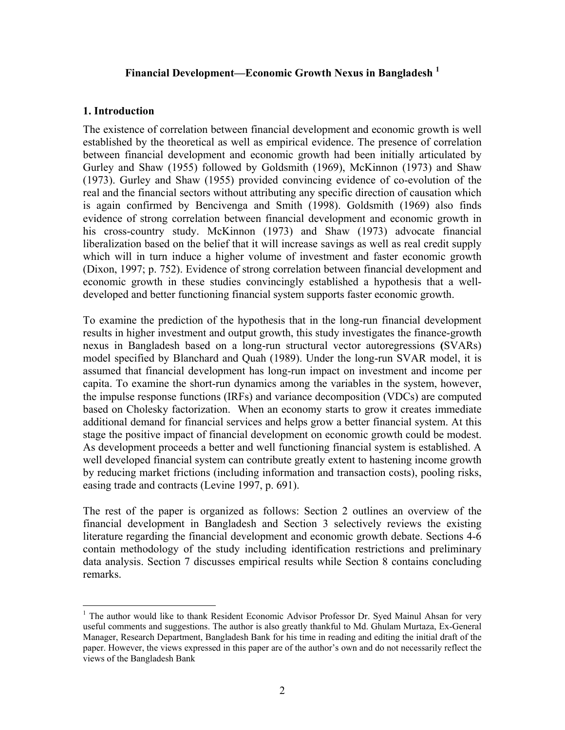## **Financial Development—Economic Growth Nexus in Bangladesh [1](#page-3-0)**

## **1. Introduction**

The existence of correlation between financial development and economic growth is well established by the theoretical as well as empirical evidence. The presence of correlation between financial development and economic growth had been initially articulated by Gurley and Shaw (1955) followed by Goldsmith (1969), McKinnon (1973) and Shaw (1973). Gurley and Shaw (1955) provided convincing evidence of co-evolution of the real and the financial sectors without attributing any specific direction of causation which is again confirmed by Bencivenga and Smith (1998). Goldsmith (1969) also finds evidence of strong correlation between financial development and economic growth in his cross-country study. McKinnon (1973) and Shaw (1973) advocate financial liberalization based on the belief that it will increase savings as well as real credit supply which will in turn induce a higher volume of investment and faster economic growth (Dixon, 1997; p. 752). Evidence of strong correlation between financial development and economic growth in these studies convincingly established a hypothesis that a welldeveloped and better functioning financial system supports faster economic growth.

To examine the prediction of the hypothesis that in the long-run financial development results in higher investment and output growth, this study investigates the finance-growth nexus in Bangladesh based on a long-run structural vector autoregressions **(**SVARs) model specified by Blanchard and Quah (1989). Under the long-run SVAR model, it is assumed that financial development has long-run impact on investment and income per capita. To examine the short-run dynamics among the variables in the system, however, the impulse response functions (IRFs) and variance decomposition (VDCs) are computed based on Cholesky factorization. When an economy starts to grow it creates immediate additional demand for financial services and helps grow a better financial system. At this stage the positive impact of financial development on economic growth could be modest. As development proceeds a better and well functioning financial system is established. A well developed financial system can contribute greatly extent to hastening income growth by reducing market frictions (including information and transaction costs), pooling risks, easing trade and contracts (Levine 1997, p. 691).

The rest of the paper is organized as follows: Section 2 outlines an overview of the financial development in Bangladesh and Section 3 selectively reviews the existing literature regarding the financial development and economic growth debate. Sections 4-6 contain methodology of the study including identification restrictions and preliminary data analysis. Section 7 discusses empirical results while Section 8 contains concluding remarks.

<span id="page-3-0"></span> $\overline{a}$ <sup>1</sup> The author would like to thank Resident Economic Advisor Professor Dr. Syed Mainul Ahsan for very useful comments and suggestions. The author is also greatly thankful to Md. Ghulam Murtaza, Ex-General Manager, Research Department, Bangladesh Bank for his time in reading and editing the initial draft of the paper. However, the views expressed in this paper are of the author's own and do not necessarily reflect the views of the Bangladesh Bank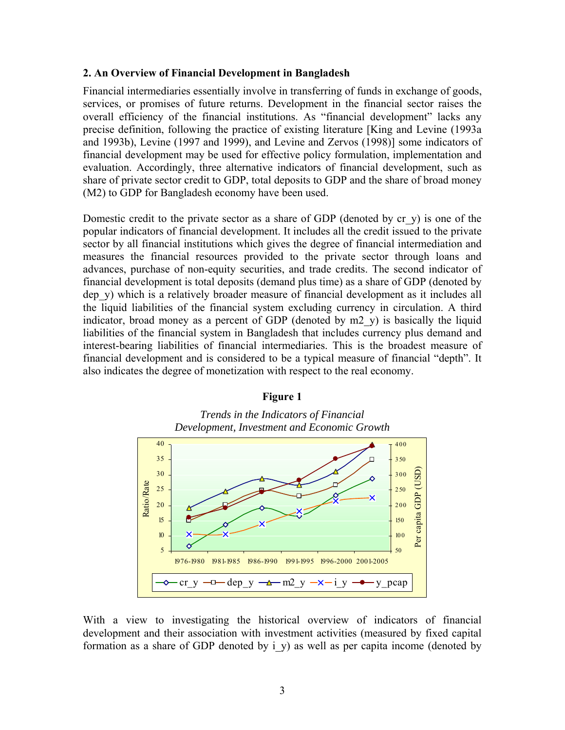#### **2. An Overview of Financial Development in Bangladesh**

Financial intermediaries essentially involve in transferring of funds in exchange of goods, services, or promises of future returns. Development in the financial sector raises the overall efficiency of the financial institutions. As "financial development" lacks any precise definition, following the practice of existing literature [King and Levine (1993a and 1993b), Levine (1997 and 1999), and Levine and Zervos (1998)] some indicators of financial development may be used for effective policy formulation, implementation and evaluation. Accordingly, three alternative indicators of financial development, such as share of private sector credit to GDP, total deposits to GDP and the share of broad money (M2) to GDP for Bangladesh economy have been used.

Domestic credit to the private sector as a share of GDP (denoted by  $cr_y$ ) is one of the popular indicators of financial development. It includes all the credit issued to the private sector by all financial institutions which gives the degree of financial intermediation and measures the financial resources provided to the private sector through loans and advances, purchase of non-equity securities, and trade credits. The second indicator of financial development is total deposits (demand plus time) as a share of GDP (denoted by dep\_y) which is a relatively broader measure of financial development as it includes all the liquid liabilities of the financial system excluding currency in circulation. A third indicator, broad money as a percent of GDP (denoted by m2\_y) is basically the liquid liabilities of the financial system in Bangladesh that includes currency plus demand and interest-bearing liabilities of financial intermediaries. This is the broadest measure of financial development and is considered to be a typical measure of financial "depth". It also indicates the degree of monetization with respect to the real economy.

#### **Figure 1**

*Trends in the Indicators of Financial Development, Investment and Economic Growth* 



With a view to investigating the historical overview of indicators of financial development and their association with investment activities (measured by fixed capital formation as a share of GDP denoted by  $\overline{i}$  y) as well as per capita income (denoted by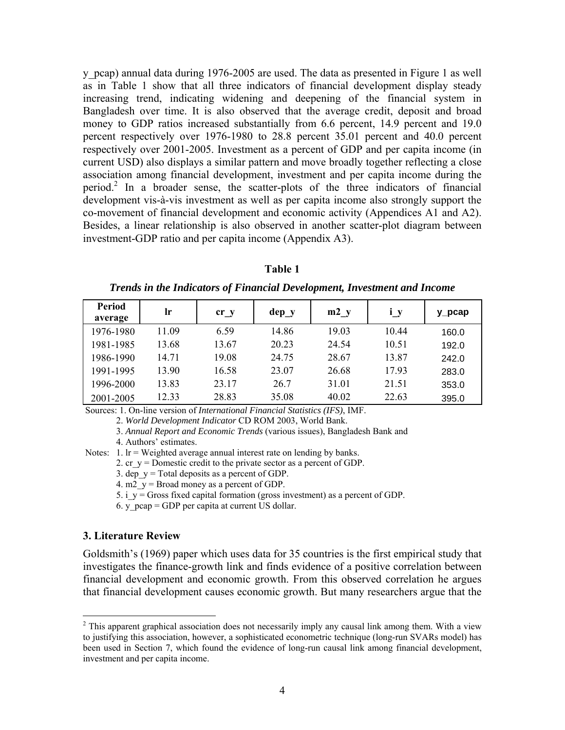y\_pcap) annual data during 1976-2005 are used. The data as presented in Figure 1 as well as in Table 1 show that all three indicators of financial development display steady increasing trend, indicating widening and deepening of the financial system in Bangladesh over time. It is also observed that the average credit, deposit and broad money to GDP ratios increased substantially from 6.6 percent, 14.9 percent and 19.0 percent respectively over 1976-1980 to 28.8 percent 35.01 percent and 40.0 percent respectively over 2001-2005. Investment as a percent of GDP and per capita income (in current USD) also displays a similar pattern and move broadly together reflecting a close association among financial development, investment and per capita income during the period.[2](#page-5-0) In a broader sense, the scatter-plots of the three indicators of financial development vis-à-vis investment as well as per capita income also strongly support the co-movement of financial development and economic activity (Appendices A1 and A2). Besides, a linear relationship is also observed in another scatter-plot diagram between investment-GDP ratio and per capita income (Appendix A3).

| Period<br>average | lr    | cr y  | $dep_y$ | m2 y  | $i \, y$ | $y$ <sub>pcap</sub> |
|-------------------|-------|-------|---------|-------|----------|---------------------|
| 1976-1980         | 11.09 | 6.59  | 14.86   | 19.03 | 10.44    | 160.0               |
| 1981-1985         | 13.68 | 13.67 | 20.23   | 24.54 | 10.51    | 192.0               |
| 1986-1990         | 14.71 | 19.08 | 24.75   | 28.67 | 13.87    | 242.0               |
| 1991-1995         | 13.90 | 16.58 | 23.07   | 26.68 | 17.93    | 283.0               |
| 1996-2000         | 13.83 | 23.17 | 26.7    | 31.01 | 21.51    | 353.0               |
| 2001-2005         | 12.33 | 28.83 | 35.08   | 40.02 | 22.63    | 395.0               |

**Table 1** 

*Trends in the Indicators of Financial Development, Investment and Income* 

Sources: 1. On-line version of *International Financial Statistics (IFS)*, IMF.

2. *World Development Indicator* CD ROM 2003, World Bank.

 3. *Annual Report and Economic Trends* (various issues), Bangladesh Bank and 4. Authors' estimates.

Notes:  $1.$  lr = Weighted average annual interest rate on lending by banks.

2. cr  $y =$  Domestic credit to the private sector as a percent of GDP.

3. dep  $y = Total$  deposits as a percent of GDP.

4. m2\_y = Broad money as a percent of GDP.

5. i\_y = Gross fixed capital formation (gross investment) as a percent of GDP.

6. y\_pcap = GDP per capita at current US dollar.

#### **3. Literature Review**

 $\overline{a}$ 

Goldsmith's (1969) paper which uses data for 35 countries is the first empirical study that investigates the finance-growth link and finds evidence of a positive correlation between financial development and economic growth. From this observed correlation he argues that financial development causes economic growth. But many researchers argue that the

<span id="page-5-0"></span> $2$  This apparent graphical association does not necessarily imply any causal link among them. With a view to justifying this association, however, a sophisticated econometric technique (long-run SVARs model) has been used in Section 7, which found the evidence of long-run causal link among financial development, investment and per capita income.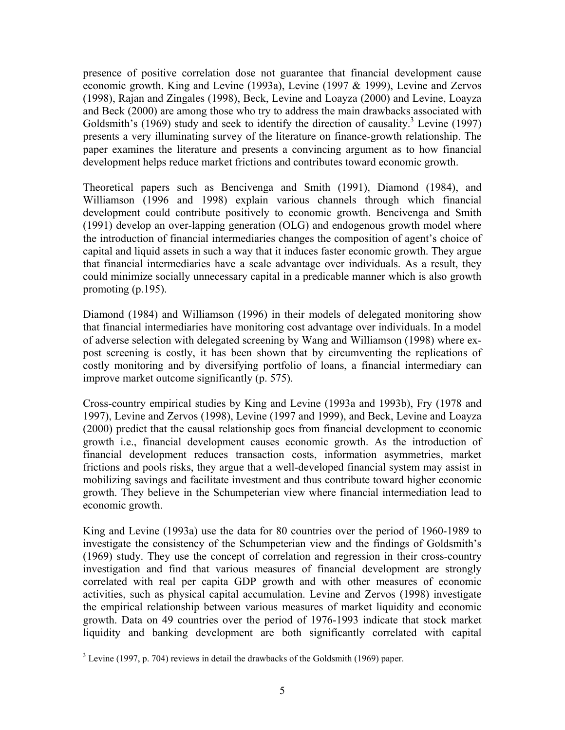presence of positive correlation dose not guarantee that financial development cause economic growth. King and Levine (1993a), Levine (1997 & 1999), Levine and Zervos (1998), Rajan and Zingales (1998), Beck, Levine and Loayza (2000) and Levine, Loayza and Beck (2000) are among those who try to address the main drawbacks associated with Goldsmith's  $(1969)$  study and seek to identify the direction of causality.<sup>[3](#page-6-0)</sup> Levine (1997) presents a very illuminating survey of the literature on finance-growth relationship. The paper examines the literature and presents a convincing argument as to how financial development helps reduce market frictions and contributes toward economic growth.

Theoretical papers such as Bencivenga and Smith (1991), Diamond (1984), and Williamson (1996 and 1998) explain various channels through which financial development could contribute positively to economic growth. Bencivenga and Smith (1991) develop an over-lapping generation (OLG) and endogenous growth model where the introduction of financial intermediaries changes the composition of agent's choice of capital and liquid assets in such a way that it induces faster economic growth. They argue that financial intermediaries have a scale advantage over individuals. As a result, they could minimize socially unnecessary capital in a predicable manner which is also growth promoting (p.195).

Diamond (1984) and Williamson (1996) in their models of delegated monitoring show that financial intermediaries have monitoring cost advantage over individuals. In a model of adverse selection with delegated screening by Wang and Williamson (1998) where expost screening is costly, it has been shown that by circumventing the replications of costly monitoring and by diversifying portfolio of loans, a financial intermediary can improve market outcome significantly (p. 575).

Cross-country empirical studies by King and Levine (1993a and 1993b), Fry (1978 and 1997), Levine and Zervos (1998), Levine (1997 and 1999), and Beck, Levine and Loayza (2000) predict that the causal relationship goes from financial development to economic growth i.e., financial development causes economic growth. As the introduction of financial development reduces transaction costs, information asymmetries, market frictions and pools risks, they argue that a well-developed financial system may assist in mobilizing savings and facilitate investment and thus contribute toward higher economic growth. They believe in the Schumpeterian view where financial intermediation lead to economic growth.

King and Levine (1993a) use the data for 80 countries over the period of 1960-1989 to investigate the consistency of the Schumpeterian view and the findings of Goldsmith's (1969) study. They use the concept of correlation and regression in their cross-country investigation and find that various measures of financial development are strongly correlated with real per capita GDP growth and with other measures of economic activities, such as physical capital accumulation. Levine and Zervos (1998) investigate the empirical relationship between various measures of market liquidity and economic growth. Data on 49 countries over the period of 1976-1993 indicate that stock market liquidity and banking development are both significantly correlated with capital

<u>.</u>

<span id="page-6-0"></span> $3$  Levine (1997, p. 704) reviews in detail the drawbacks of the Goldsmith (1969) paper.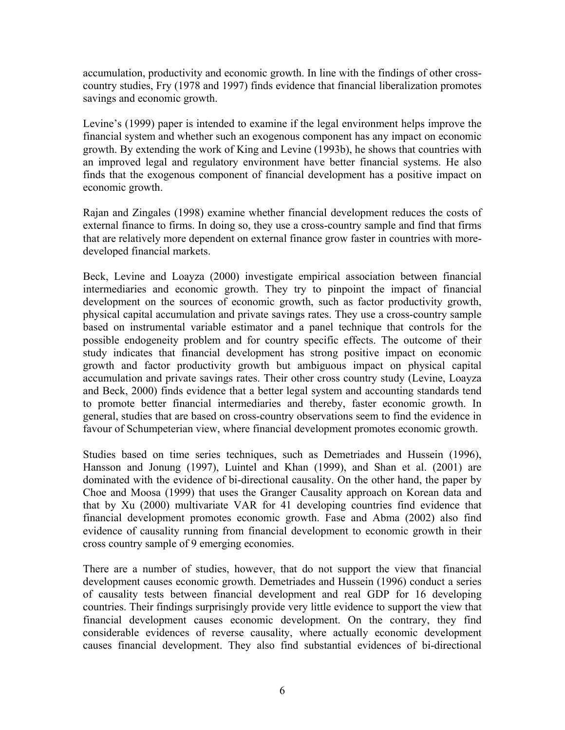accumulation, productivity and economic growth. In line with the findings of other crosscountry studies, Fry (1978 and 1997) finds evidence that financial liberalization promotes savings and economic growth.

Levine's (1999) paper is intended to examine if the legal environment helps improve the financial system and whether such an exogenous component has any impact on economic growth. By extending the work of King and Levine (1993b), he shows that countries with an improved legal and regulatory environment have better financial systems. He also finds that the exogenous component of financial development has a positive impact on economic growth.

Rajan and Zingales (1998) examine whether financial development reduces the costs of external finance to firms. In doing so, they use a cross-country sample and find that firms that are relatively more dependent on external finance grow faster in countries with moredeveloped financial markets.

Beck, Levine and Loayza (2000) investigate empirical association between financial intermediaries and economic growth. They try to pinpoint the impact of financial development on the sources of economic growth, such as factor productivity growth, physical capital accumulation and private savings rates. They use a cross-country sample based on instrumental variable estimator and a panel technique that controls for the possible endogeneity problem and for country specific effects. The outcome of their study indicates that financial development has strong positive impact on economic growth and factor productivity growth but ambiguous impact on physical capital accumulation and private savings rates. Their other cross country study (Levine, Loayza and Beck, 2000) finds evidence that a better legal system and accounting standards tend to promote better financial intermediaries and thereby, faster economic growth. In general, studies that are based on cross-country observations seem to find the evidence in favour of Schumpeterian view, where financial development promotes economic growth.

Studies based on time series techniques, such as Demetriades and Hussein (1996), Hansson and Jonung (1997), Luintel and Khan (1999), and Shan et al. (2001) are dominated with the evidence of bi-directional causality. On the other hand, the paper by Choe and Moosa (1999) that uses the Granger Causality approach on Korean data and that by Xu (2000) multivariate VAR for 41 developing countries find evidence that financial development promotes economic growth. Fase and Abma (2002) also find evidence of causality running from financial development to economic growth in their cross country sample of 9 emerging economies.

There are a number of studies, however, that do not support the view that financial development causes economic growth. Demetriades and Hussein (1996) conduct a series of causality tests between financial development and real GDP for 16 developing countries. Their findings surprisingly provide very little evidence to support the view that financial development causes economic development. On the contrary, they find considerable evidences of reverse causality, where actually economic development causes financial development. They also find substantial evidences of bi-directional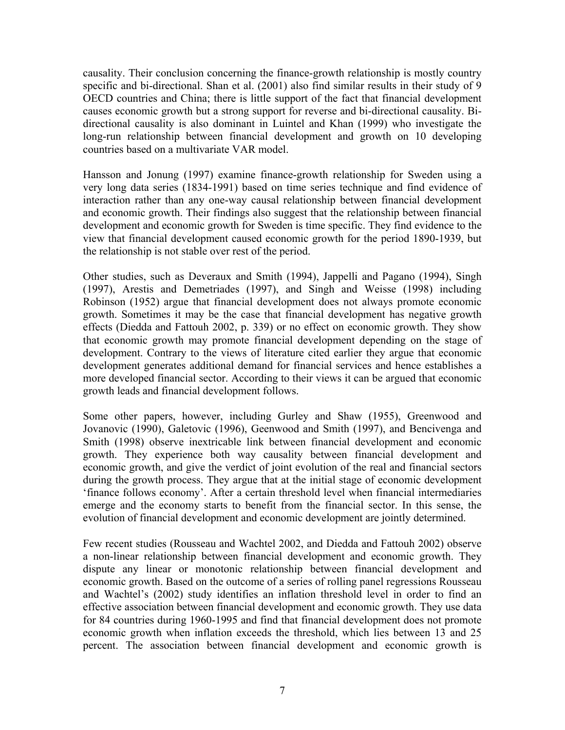causality. Their conclusion concerning the finance-growth relationship is mostly country specific and bi-directional. Shan et al. (2001) also find similar results in their study of 9 OECD countries and China; there is little support of the fact that financial development causes economic growth but a strong support for reverse and bi-directional causality. Bidirectional causality is also dominant in Luintel and Khan (1999) who investigate the long-run relationship between financial development and growth on 10 developing countries based on a multivariate VAR model.

Hansson and Jonung (1997) examine finance-growth relationship for Sweden using a very long data series (1834-1991) based on time series technique and find evidence of interaction rather than any one-way causal relationship between financial development and economic growth. Their findings also suggest that the relationship between financial development and economic growth for Sweden is time specific. They find evidence to the view that financial development caused economic growth for the period 1890-1939, but the relationship is not stable over rest of the period.

Other studies, such as Deveraux and Smith (1994), Jappelli and Pagano (1994), Singh (1997), Arestis and Demetriades (1997), and Singh and Weisse (1998) including Robinson (1952) argue that financial development does not always promote economic growth. Sometimes it may be the case that financial development has negative growth effects (Diedda and Fattouh 2002, p. 339) or no effect on economic growth. They show that economic growth may promote financial development depending on the stage of development. Contrary to the views of literature cited earlier they argue that economic development generates additional demand for financial services and hence establishes a more developed financial sector. According to their views it can be argued that economic growth leads and financial development follows.

Some other papers, however, including Gurley and Shaw (1955), Greenwood and Jovanovic (1990), Galetovic (1996), Geenwood and Smith (1997), and Bencivenga and Smith (1998) observe inextricable link between financial development and economic growth. They experience both way causality between financial development and economic growth, and give the verdict of joint evolution of the real and financial sectors during the growth process. They argue that at the initial stage of economic development 'finance follows economy'. After a certain threshold level when financial intermediaries emerge and the economy starts to benefit from the financial sector. In this sense, the evolution of financial development and economic development are jointly determined.

Few recent studies (Rousseau and Wachtel 2002, and Diedda and Fattouh 2002) observe a non-linear relationship between financial development and economic growth. They dispute any linear or monotonic relationship between financial development and economic growth. Based on the outcome of a series of rolling panel regressions Rousseau and Wachtel's (2002) study identifies an inflation threshold level in order to find an effective association between financial development and economic growth. They use data for 84 countries during 1960-1995 and find that financial development does not promote economic growth when inflation exceeds the threshold, which lies between 13 and 25 percent. The association between financial development and economic growth is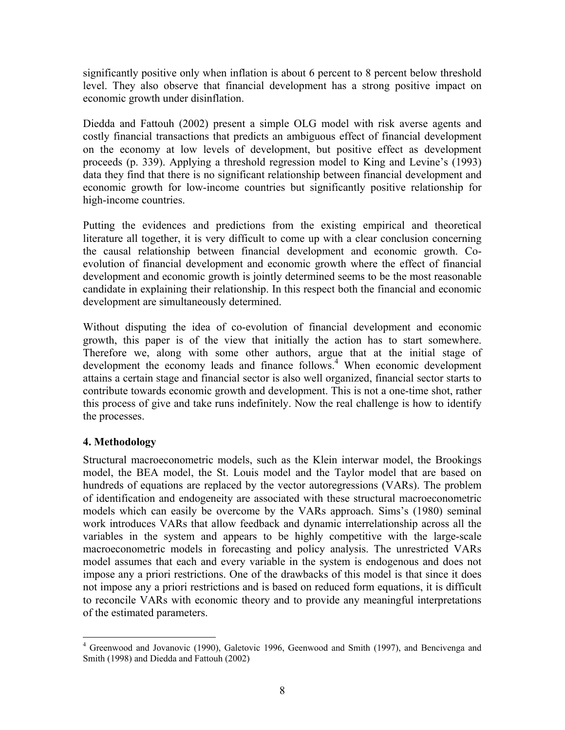significantly positive only when inflation is about 6 percent to 8 percent below threshold level. They also observe that financial development has a strong positive impact on economic growth under disinflation.

Diedda and Fattouh (2002) present a simple OLG model with risk averse agents and costly financial transactions that predicts an ambiguous effect of financial development on the economy at low levels of development, but positive effect as development proceeds (p. 339). Applying a threshold regression model to King and Levine's (1993) data they find that there is no significant relationship between financial development and economic growth for low-income countries but significantly positive relationship for high-income countries.

Putting the evidences and predictions from the existing empirical and theoretical literature all together, it is very difficult to come up with a clear conclusion concerning the causal relationship between financial development and economic growth. Coevolution of financial development and economic growth where the effect of financial development and economic growth is jointly determined seems to be the most reasonable candidate in explaining their relationship. In this respect both the financial and economic development are simultaneously determined.

Without disputing the idea of co-evolution of financial development and economic growth, this paper is of the view that initially the action has to start somewhere. Therefore we, along with some other authors, argue that at the initial stage of development the economy leads and finance follows.<sup>[4](#page-9-0)</sup> When economic development attains a certain stage and financial sector is also well organized, financial sector starts to contribute towards economic growth and development. This is not a one-time shot, rather this process of give and take runs indefinitely. Now the real challenge is how to identify the processes.

## **4. Methodology**

Structural macroeconometric models, such as the Klein interwar model, the Brookings model, the BEA model, the St. Louis model and the Taylor model that are based on hundreds of equations are replaced by the vector autoregressions (VARs). The problem of identification and endogeneity are associated with these structural macroeconometric models which can easily be overcome by the VARs approach. Sims's (1980) seminal work introduces VARs that allow feedback and dynamic interrelationship across all the variables in the system and appears to be highly competitive with the large-scale macroeconometric models in forecasting and policy analysis. The unrestricted VARs model assumes that each and every variable in the system is endogenous and does not impose any a priori restrictions. One of the drawbacks of this model is that since it does not impose any a priori restrictions and is based on reduced form equations, it is difficult to reconcile VARs with economic theory and to provide any meaningful interpretations of the estimated parameters.

<span id="page-9-0"></span><sup>1</sup> <sup>4</sup> Greenwood and Jovanovic (1990), Galetovic 1996, Geenwood and Smith (1997), and Bencivenga and Smith (1998) and Diedda and Fattouh (2002)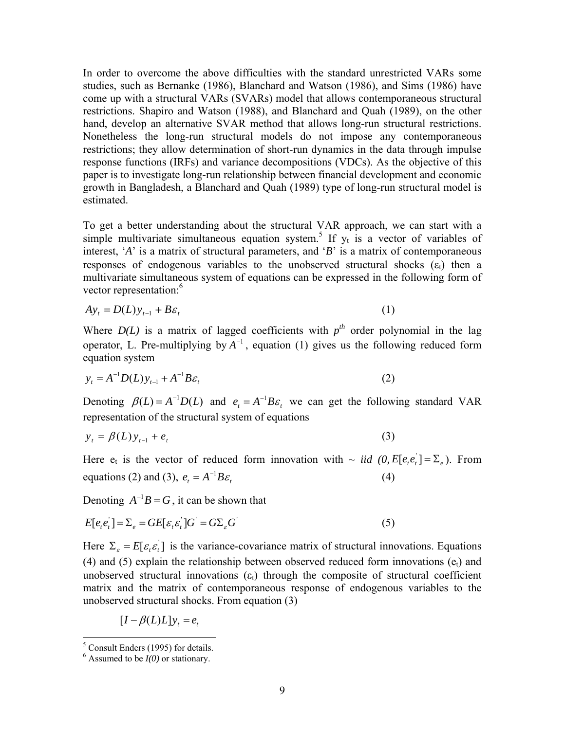In order to overcome the above difficulties with the standard unrestricted VARs some studies, such as Bernanke (1986), Blanchard and Watson (1986), and Sims (1986) have come up with a structural VARs (SVARs) model that allows contemporaneous structural restrictions. Shapiro and Watson (1988), and Blanchard and Quah (1989), on the other hand, develop an alternative SVAR method that allows long-run structural restrictions. Nonetheless the long-run structural models do not impose any contemporaneous restrictions; they allow determination of short-run dynamics in the data through impulse response functions (IRFs) and variance decompositions (VDCs). As the objective of this paper is to investigate long-run relationship between financial development and economic growth in Bangladesh, a Blanchard and Quah (1989) type of long-run structural model is estimated.

To get a better understanding about the structural VAR approach, we can start with a simplemultivariate simultaneous equation system.<sup>5</sup> If  $y_t$  is a vector of variables of interest, '*A*' is a matrix of structural parameters, and '*B*' is a matrix of contemporaneous responses of endogenous variables to the unobserved structural shocks  $(\varepsilon_t)$  then a multivariate simultaneous system of equations can be expressed in the following form of vector representation:<sup>[6](#page-10-1)</sup>

$$
Ay_t = D(L)y_{t-1} + B\varepsilon_t
$$
 (1)

Where  $D(L)$  is a matrix of lagged coefficients with  $p^{th}$  order polynomial in the lag operator, L. Pre-multiplying by  $A^{-1}$ , equation (1) gives us the following reduced form equation system

$$
y_t = A^{-1}D(L)y_{t-1} + A^{-1}B\varepsilon_t
$$
 (2)

Denoting  $\beta(L) = A^{-1}D(L)$  and  $e_t = A^{-1}B\varepsilon_t$  we can get the following standard VAR representation of the structural system of equations

$$
y_t = \beta(L)y_{t-1} + e_t \tag{3}
$$

Here  $e_t$  is the vector of reduced form innovation with  $\sim$  *iid*  $(0, E[e_t e_t] = \sum_e)$ . From equations (2) and (3),  $e_t = A^{-1} B \varepsilon_t$  (4)

Denoting  $A^{-1}B = G$ , it can be shown that

$$
E[e_{i}e_{i}]=\Sigma_{e}=GE[\varepsilon_{i}\varepsilon_{i}]G^{'}=G\Sigma_{e}G^{'}\tag{5}
$$

Here  $\Sigma_{\varepsilon} = E[\varepsilon_{\varepsilon} \varepsilon_{\varepsilon}]$  is the variance-covariance matrix of structural innovations. Equations (4) and (5) explain the relationship between observed reduced form innovations  $(e_t)$  and unobserved structural innovations  $(\epsilon_t)$  through the composite of structural coefficient matrix and the matrix of contemporaneous response of endogenous variables to the unobserved structural shocks. From equation (3)

$$
[I - \beta(L)L]y_t = e_t
$$

 $\frac{5}{6}$  Consult Enders (1995) for details.

<span id="page-10-1"></span><span id="page-10-0"></span> $6$  Assumed to be  $I(0)$  or stationary.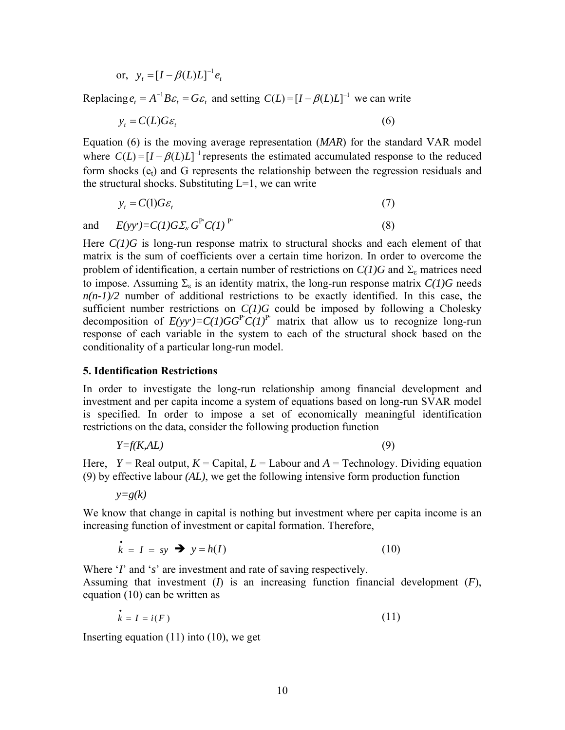or, 
$$
y_t = [I - \beta(L)L]^{-1} e_t
$$

Replacing  $e_t = A^{-1}B\varepsilon_t = G\varepsilon_t$  and setting  $C(L) = [I - \beta(L)L]^{-1}$  we can write

$$
y_t = C(L)G\varepsilon_t \tag{6}
$$

Equation (6) is the moving average representation (*MAR*) for the standard VAR model form shocks  $(e_t)$  and G represents the relationship between the regression residuals and the structural shocks. Substituting  $L=1$ , we can write where  $C(L) = [I - \beta(L)L]^{-1}$  represents the estimated accumulated response to the reduced

$$
y_t = C(1)G\varepsilon_t \tag{7}
$$

and  $E(yy') = C(1)G\Sigma_{\varepsilon} G^{P'} C(1) P'$  (8)

Here  $C(1)G$  is long-run response matrix to structural shocks and each element of that matrix is the sum of coefficients over a certain time horizon. In order to overcome the problem of identification, a certain number of restrictions on  $C(1)G$  and  $\Sigma$ <sub>s</sub> matrices need to impose. Assuming  $\Sigma_{\varepsilon}$  is an identity matrix, the long-run response matrix  $C(1)G$  needs  $n(n-1)/2$  number of additional restrictions to be exactly identified. In this case, the sufficient number restrictions on *C(1)G* could be imposed by following a Cholesky decomposition of  $E(yy') = C(1)GG^P C(1)P'$  matrix that allow us to recognize long-run response of each variable in the system to each of the structural shock based on the conditionality of a particular long-run model.

#### **5. Identification Restrictions**

In order to investigate the long-run relationship among financial development and investment and per capita income a system of equations based on long-run SVAR model is specified. In order to impose a set of economically meaningful identification restrictions on the data, consider the following production function

$$
Y = f(K, AL) \tag{9}
$$

Here,  $Y = \text{Real output}, K = \text{Capital}, L = \text{Labour}$  and  $A = \text{Technology}$ . Dividing equation (9) by effective labour  $(AL)$ , we get the following intensive form production function

 $y=g(k)$ 

We know that change in capital is nothing but investment where per capita income is an increasing function of investment or capital formation. Therefore,

$$
\dot{k} = I = sy \implies y = h(I) \tag{10}
$$

Where '*I*' and '*s*' are investment and rate of saving respectively. Assuming that investment  $(I)$  is an increasing function financial development  $(F)$ , equation (10) can be written as

$$
\dot{k} = I = i(F) \tag{11}
$$

Inserting equation ( 11) into (10), we get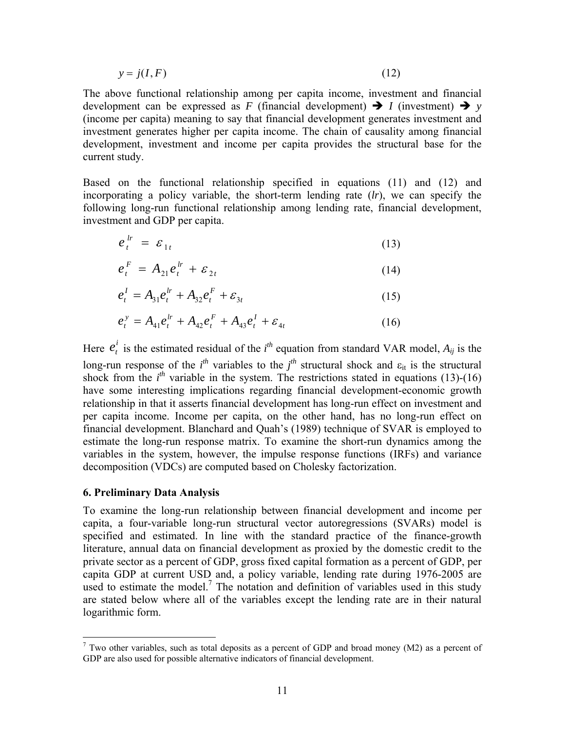$$
y = j(I, F) \tag{12}
$$

The above functional relationship among per capita income, investment and financial development can be expressed as *F* (financial development)  $\rightarrow$  *I* (investment)  $\rightarrow$  *y* (income per capita) meaning to say that financial development generates investment and investment generates higher per capita income. The chain of causality among financial development, investment and income per capita provides the structural base for the current study.

Based on the functional relationship specified in equations  $(11)$  and  $(12)$  and incorporating a policy variable, the short-term lending rate (*lr*), we can specify the following long-run functional relationship among lending rate, financial development, investment and GDP per capita.

$$
e_t^{lr} = \varepsilon_{1t} \tag{13}
$$

$$
e_t^F = A_{21}e_t^{lr} + \varepsilon_{2t} \tag{14}
$$

$$
e_t^I = A_{31}e_t^{lr} + A_{32}e_t^F + \varepsilon_{3t}
$$
 (15)

$$
e_t^{\,y} = A_{41}e_t^{\,lr} + A_{42}e_t^{\,F} + A_{43}e_t^{\,I} + \varepsilon_{4t} \tag{16}
$$

Here  $e_t^i$  is the estimated residual of the *i*<sup>th</sup> equation from standard VAR model,  $A_{ij}$  is the long-run response of the  $i^{th}$  variables to the  $j^{th}$  structural shock and  $\varepsilon_{it}$  is the structural shock from the  $i<sup>th</sup>$  variable in the system. The restrictions stated in equations (13)-(16) have some interesting implications regarding financial development-economic growth relationship in that it asserts financial development has long-run effect on investment and per capita income. Income per capita, on the other hand, has no long-run effect on financial development. Blanchard and Quah's (1989) technique of SVAR is employed to estimate the long-run response matrix. To examine the short-run dynamics among the variables in the system, however, the impulse response functions (IRFs) and variance decomposition (VDCs) are computed based on Cholesky factorization.

#### **6. Preliminary Data Analysis**

To examine the long-run relationship between financial development and income per capita, a four-variable long-run structural vector autoregressions (SVARs) model is specified and estimated. In line with the standard practice of the finance-growth literature, annual data on financial development as proxied by the domestic credit to the private sector as a percent o[f G](#page-12-0)DP, gross fixed capital formation as a percent of GDP, per capita GDP at current USD and, a policy variable, lending rate during 1976-2005 are used to estimate the model.<sup>7</sup> The notation and definition of variables used in this study are stated below where all of the variables except the lending rate are in their natural logarithmic form.

<span id="page-12-0"></span><sup>&</sup>lt;sup>7</sup> Two other variables, such as total deposits as a percent of GDP and broad money (M2) as a percent of GDP are also used for possible alternative indicators of financial development.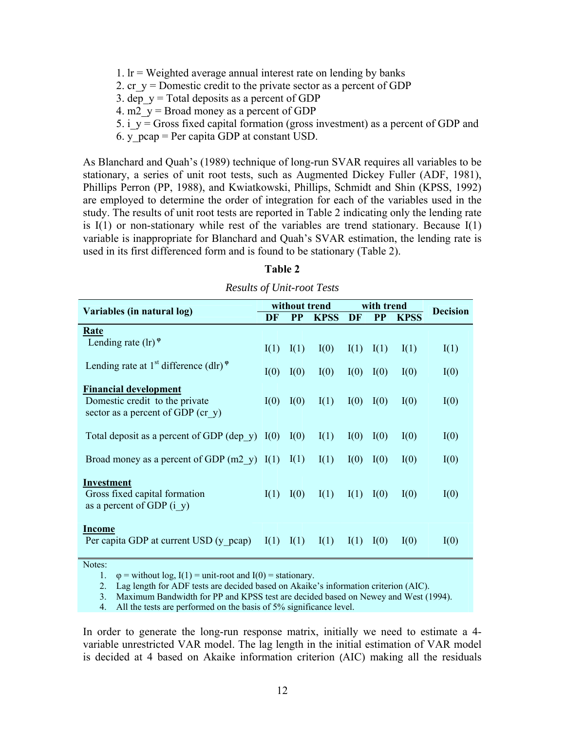- 1.  $Ir = Weighted average annual interest rate on lending by banks$
- 2. cr  $y =$  Domestic credit to the private sector as a percent of GDP
- 3. dep  $y = Total$  deposits as a percent of GDP
- 4. m2  $y =$  Broad money as a percent of GDP
- 5. i\_y = Gross fixed capital formation (gross investment) as a percent of GDP and
- 6. y  $peap = Per capita GDP$  at constant USD.

stationary, a series of unit root tests, such as Augmented Dickey Fuller (ADF, 1981), As Blanchard and Quah's (1989) technique of long-run SVAR requires all variables to be Phillips Perron (PP, 1988), and Kwiatkowski, Phillips, Schmidt and Shin (KPSS, 1992) are employed to determine the order of integration for each of the variables used in the study. The results of unit root tests are reported in Table 2 indicating only the lending rate is  $I(1)$  or non-stationary while rest of the variables are trend stationary. Because  $I(1)$ variable is inappropriate for Blanchard and Quah's SVAR estimation, the lending rate is used in its first differenced form and is found to be stationary (Table 2).

| Variables (in natural log)                                                       |      | without trend |             | with trend |           |                                |      |
|----------------------------------------------------------------------------------|------|---------------|-------------|------------|-----------|--------------------------------|------|
|                                                                                  |      | <b>PP</b>     | <b>KPSS</b> | DF         | <b>PP</b> | <b>Decision</b><br><b>KPSS</b> |      |
| Rate                                                                             |      |               |             |            |           |                                |      |
| Lending rate $(\ln)^{\varphi}$                                                   | I(1) | I(1)          | I(0)        | I(1)       | I(1)      | I(1)                           | I(1) |
| Lending rate at 1 <sup>st</sup> difference (dlr) <sup><math>\varphi</math></sup> | I(0) | I(0)          | I(0)        | I(0)       | I(0)      | I(0)                           | I(0) |
| <b>Financial development</b>                                                     |      |               |             |            |           |                                |      |
| Domestic credit to the private<br>sector as a percent of GDP (cr $y$ )           | I(0) | I(0)          | I(1)        | I(0)       | I(0)      | I(0)                           | I(0) |
|                                                                                  |      |               |             |            |           |                                |      |
| Total deposit as a percent of GDP (dep $y$ ) I(0)                                |      | I(0)          | I(1)        | I(0)       | I(0)      | I(0)                           | I(0) |
| Broad money as a percent of GDP $(m2 \ y)$ I(1) I(1)                             |      |               | I(1)        | I(0)       | I(0)      | I(0)                           | I(0) |
| Investment                                                                       |      |               |             |            |           |                                |      |
| Gross fixed capital formation<br>as a percent of GDP $(i \ y)$                   | I(1) | I(0)          | I(1)        | I(1)       | I(0)      | I(0)                           | I(0) |
|                                                                                  |      |               |             |            |           |                                |      |
| Income<br>Per capita GDP at current USD (y pcap)                                 | I(1) | I(1)          | I(1)        | I(1)       | I(0)      | I(0)                           | I(0) |

## *Results of Unit-root Tests*

**Table 2** 

Notes:

1.  $\varphi$  = without log, I(1) = unit-root and I(0) = stationary.

2. Lag length for ADF tests are decided based on Akaike's information criterion (AIC).

3. Maximum Bandwidth for PP and KPSS test are decided based on Newey and West (1994).

4. All the tests are performed on the basis of 5% significance level.

In order to generate the long-run response matrix, initially we need to estimate a 4variable unrestricted VAR model. The lag length in the initial estimation of VAR model is decided at 4 based on Akaike information criterion (AIC) making all the residuals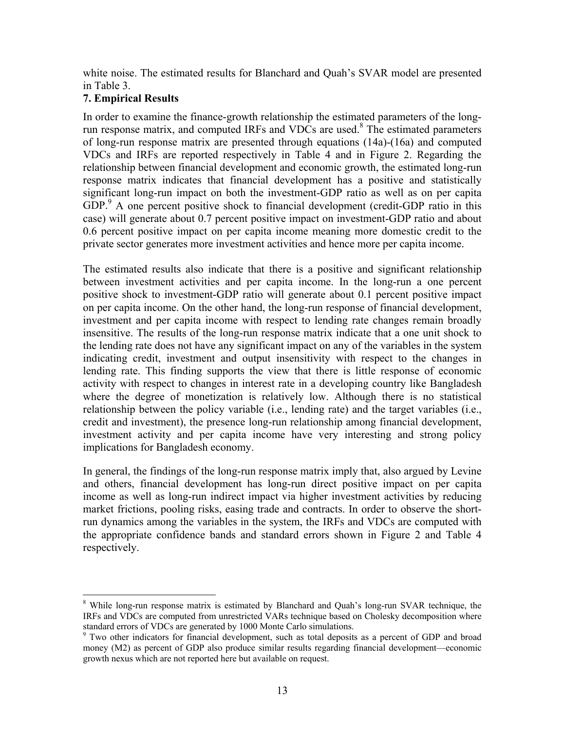white noise. The estimated results for Blanchard and Quah's SVAR model are presented in Table 3.

## **7. Empirical Results**

1

In order to examine the finance-growth relationship the estimated parameters of the longrun response matrix, and computed IRFs and VDCs are used. $8$  The estimated parameters of long-run response m atrix are presented through equations (14a)-(16a) and computed VDCs and IRFs are reported respectively in Table 4 and in Figure 2. Regarding the relationship between financial development and economic growth, the estimated long-run respo[ns](#page-14-0)e matrix indicates that financial development has a positive and statistically significant long-run impact on both the investment-GDP ratio as well as on per capita GDP.<sup>9</sup> A one percent positive shock to financial development (credit-GDP ratio in this case) will generate about 0.7 percent positive impact on investment-GDP ratio and about 0.6 percent positive impact on per capita income meaning more domestic credit to the private sector generates more investment activities and hence more per capita income.

between investment activities and per capita income. In the long-run a one percent positive shock to investment-GDP ratio will generate about 0.1 percent positive impact The estimated results also indicate that there is a positive and significant relationship on per capita income. On the other hand, the long-run response of financial development, investment and per capita income with respect to lending rate changes remain broadly insensitive. The results of the long-run response matrix indicate that a one unit shock to the lending rate does not have any significant impact on any of the variables in the system indicating credit, investment and output insensitivity with respect to the changes in lending rate. This finding supports the view that there is little response of economic activity with respect to changes in interest rate in a developing country like Bangladesh where the degree of monetization is relatively low. Although there is no statistical relationship between the policy variable (i.e., lending rate) and the target variables (i.e., credit and investment), the presence long-run relationship among financial development, investment activity and per capita income have very interesting and strong policy implications for Bangladesh economy.

and others, financial development has long-run direct positive impact on per capita income as well as long-run indirect impact via higher investment activities by reducing In general, the findings of the long-run response matrix imply that, also argued by Levine market frictions, pooling risks, easing trade and contracts. In order to observe the shortrun dynamics among the variables in the system, the IRFs and VDCs are computed with the appropriate confidence bands and standard errors shown in Figure 2 and Table 4 respectively.

<sup>&</sup>lt;sup>8</sup> While long-run response matrix is estimated by Blanchard and Quah's long-run SVAR technique, the IRFs and VDCs are computed from unrestricted VARs technique based on Cholesky decomposition where

<span id="page-14-0"></span>standard errors of VDCs are generated by 1000 Monte Carlo simulations.<br><sup>9</sup> Two other indicators for financial development, such as total deposits as a percent of GDP and broad money (M2) as percent of GDP also produce similar results regarding financial development—economic growth nexus which are not reported here but available on request.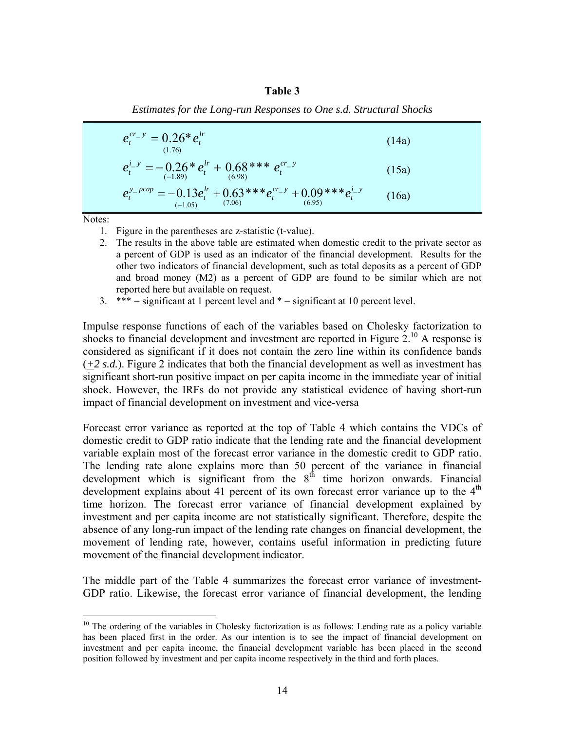#### **Table 3**

 (14a) *lr t*  $e_i^{cr_-y} = 0.26* e$ (1.76)  $v = 0.26*$  $e^{i-y}_t = -0.26 * e^{ir}_t + 0.68 ** e^{cr-y}_t$ *lr*  $t_t^{i_y} = -0.26 * e_t^{lr} + 0.68** * e_t^{cr_y}$  (15a)  $t_t^{(1.89)}$  (15a)  $t_t^{lr}$  + 0.63\*\*\* $e_t^{cr}$  + 0.09\*\*\* $e_t^{i}$  *y* (16a)  $e_t^{y\_pcap} = -0.13e_t^{lr} + 0.63**e_t^{cr\_y} + 0.09***e_t^{i-0.05}$  $e^{-pcap} = -0.13 e^{lr}_t + 0.63***e^{cr_-y}_t + 0.09***$ −

*Estimates for the Long-run Responses to One s.d. Structural Shocks* 

Notes:

 $\overline{a}$ 

- 1. Figure in the parentheses are z-statistic (t-va lue).
- 2. The results in the above table are estimated when domestic credit to the private sector as a percent of GDP is used as an indicator of the financial development. Results for the other two indicators of financial development, such as total deposits as a percent of GDP and broad money (M2) as a percent of GDP are found to be similar which are not reported here but available on request.
- $3.$  \*\*\* = significant at 1 percent level and  $*$  = significant at 10 percent level.

Impuls e response functions of each of the variables based on Cholesky [fa](#page-15-0)ctorization to shocks to financial development and investment are reported in Figure  $2<sup>10</sup>$  A response is considered as significant if it does not contain the zero line within its confidence bands  $(1, 2, s.d.)$ . Figure 2 indicates that both the financial development as well as investment has significant short-run positive impact on per capita income in the immediate year of initial shock. However, the IRFs do not provide any statistical evidence of having short-run impact of financial development on investment and vice-versa

the variance in financial evelopment which is significant from the  $8<sup>th</sup>$  time horizon onwards. Financial Forecast error variance as reported at the top of Table 4 which contains the VDCs of domestic credit to GDP ratio indicate that the lending rate and the financial development variable explain most of the forecast error variance in the domestic credit to GDP ratio. The lending rate alone explains more than 50 percent of development which is significant from the  $8<sup>th</sup>$ development explains about 41 percent of its own forecast error variance up to the  $4<sup>th</sup>$ time horizon. The forecast error variance of financial development explained by investment and per capita income are not statistically significant. Therefore, despite the absence of any long-run impact of the lending rate changes on financial development, the movement of lending rate, however, contains useful information in predicting future movement of the financial development indicator.

The middle part of the Table 4 summarizes the forecast error variance of investment-GDP ratio. Likewise, the forecast error variance of financial development, the lending

<span id="page-15-0"></span> $10$  The ordering of the variables in Cholesky factorization is as follows: Lending rate as a policy variable has been placed first in the order. As our intention is to see the impact of financial development on investment and per capita income, the financial development variable has been placed in the second position followed by investment and per capita income respectively in the third and forth places.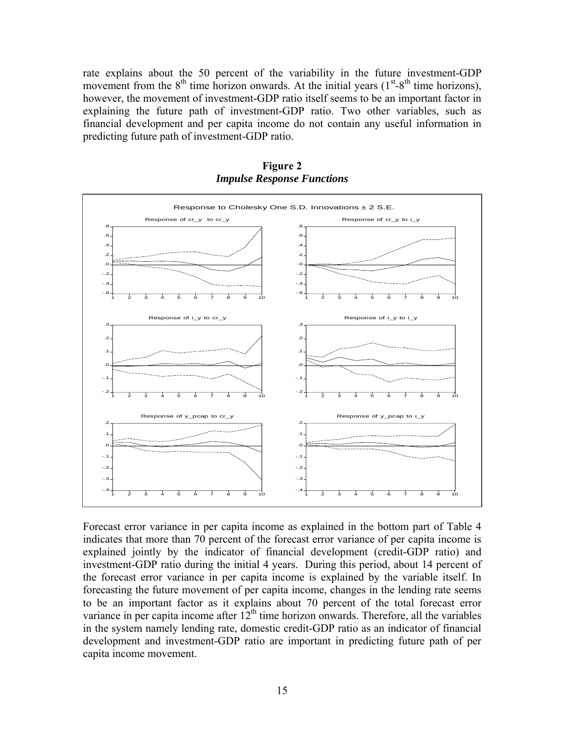rate explains about the 50 percent of the variability in the future investment-GDP movement from the  $8<sup>th</sup>$  time horizon onwards. At the initial years ( $1<sup>st</sup>-8<sup>th</sup>$  time horizons), however, the movement of investment-GDP ratio itself seems to be an important factor in explaining the future path of investment-GDP ratio. Two other variables, such as financial development and per capita income do not contain any useful information in predicting future path of investment-GDP ratio.



**Figure 2**  *Impulse Response Functions* 

Forecast error variance in per capita income as explained in the bottom part of Table 4 indicates that more than 70 percent of the forecast error variance of per capita income is explained jointly by the indicator of financial development (credit-GDP ratio) and investment-GDP ratio during the initial 4 years. During this period, about 14 percent of the forecast error variance in per capita income is explained by the variable itself. In forecasting the future movement of per capita income, changes in the lending rate seems to be an important factor as it explains about 70 percent of the total forecast error variance in per capita income after  $12<sup>th</sup>$  time horizon onwards. Therefore, all the variables in the system namely lending rate, domestic credit-GDP ratio as an indicator of financial development and investment-GDP ratio are important in predicting future path of per capita income movement.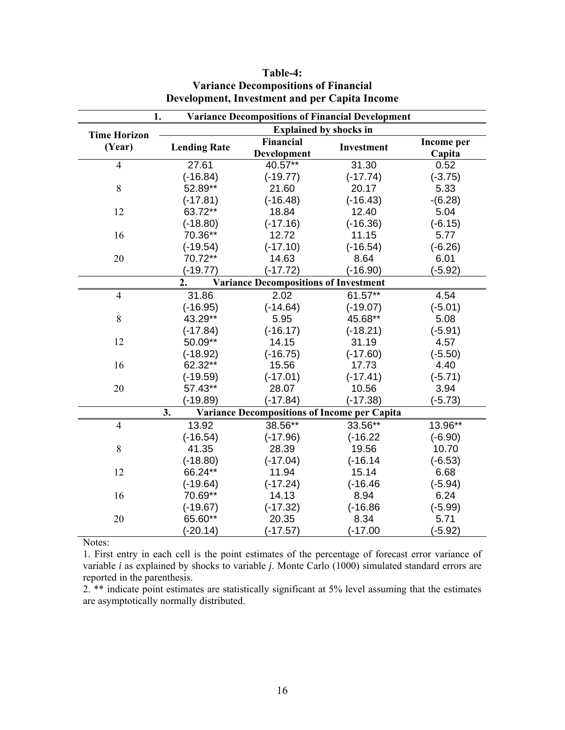| <b>Variance Decompositions of Financial Development</b><br>1. |                                                                  |                  |            |            |  |  |  |
|---------------------------------------------------------------|------------------------------------------------------------------|------------------|------------|------------|--|--|--|
| <b>Time Horizon</b>                                           | <b>Explained by shocks in</b>                                    |                  |            |            |  |  |  |
| (Year)                                                        | <b>Lending Rate</b>                                              | <b>Financial</b> | Investment | Income per |  |  |  |
|                                                               |                                                                  | Development      |            | Capita     |  |  |  |
| $\overline{4}$                                                | 27.61                                                            | 40.57**          | 31.30      | 0.52       |  |  |  |
|                                                               | $(-16.84)$                                                       | $(-19.77)$       | $(-17.74)$ | $(-3.75)$  |  |  |  |
| 8                                                             | 52.89**                                                          | 21.60            | 20.17      | 5.33       |  |  |  |
|                                                               | $(-17.81)$                                                       | $(-16.48)$       | $(-16.43)$ | $-(6.28)$  |  |  |  |
| 12                                                            | 63.72**                                                          | 18.84            | 12.40      | 5.04       |  |  |  |
|                                                               | $(-18.80)$                                                       | $(-17.16)$       | $(-16.36)$ | $(-6.15)$  |  |  |  |
| 16                                                            | 70.36**                                                          | 12.72            | 11.15      | 5.77       |  |  |  |
|                                                               | $(-19.54)$                                                       | $(-17.10)$       | $(-16.54)$ | $(-6.26)$  |  |  |  |
| 20                                                            | 70.72**                                                          | 14.63            | 8.64       | 6.01       |  |  |  |
|                                                               | $(-19.77)$                                                       | $(-17.72)$       | $(-16.90)$ | $(-5.92)$  |  |  |  |
|                                                               | $\overline{2}$ .<br><b>Variance Decompositions of Investment</b> |                  |            |            |  |  |  |
| $\overline{4}$                                                | 31.86                                                            | 2.02             | 61.57**    | 4.54       |  |  |  |
|                                                               | $(-16.95)$                                                       | $(-14.64)$       | $(-19.07)$ | $(-5.01)$  |  |  |  |
| 8                                                             | 43.29**                                                          | 5.95             | 45.68**    | 5.08       |  |  |  |
|                                                               | $(-17.84)$                                                       | $(-16.17)$       | $(-18.21)$ | $(-5.91)$  |  |  |  |
| 12                                                            | 50.09**                                                          | 14.15            | 31.19      | 4.57       |  |  |  |
|                                                               | $(-18.92)$                                                       | $(-16.75)$       | $(-17.60)$ | $(-5.50)$  |  |  |  |
| 16                                                            | 62.32**                                                          | 15.56            | 17.73      | 4.40       |  |  |  |
|                                                               | $(-19.59)$                                                       | $(-17.01)$       | $(-17.41)$ | $(-5.71)$  |  |  |  |
| 20                                                            | 57.43**                                                          | 28.07            | 10.56      | 3.94       |  |  |  |
|                                                               | $(-19.89)$                                                       | $(-17.84)$       | $(-17.38)$ | $(-5.73)$  |  |  |  |
| <b>Variance Decompositions of Income per Capita</b><br>3.     |                                                                  |                  |            |            |  |  |  |
| $\overline{4}$                                                | 13.92                                                            | 38.56**          | 33.56**    | 13.96**    |  |  |  |
|                                                               | $(-16.54)$                                                       | $(-17.96)$       | $(-16.22)$ | $(-6.90)$  |  |  |  |
| 8                                                             | 41.35                                                            | 28.39            | 19.56      | 10.70      |  |  |  |
|                                                               | $(-18.80)$                                                       | $(-17.04)$       | $(-16.14)$ | $(-6.53)$  |  |  |  |
| 12                                                            | 66.24**                                                          | 11.94            | 15.14      | 6.68       |  |  |  |
|                                                               | $(-19.64)$                                                       | $(-17.24)$       | $(-16.46)$ | $(-5.94)$  |  |  |  |
| 16                                                            | 70.69**                                                          | 14.13            | 8.94       | 6.24       |  |  |  |
|                                                               | $(-19.67)$                                                       | $(-17.32)$       | $(-16.86)$ | $(-5.99)$  |  |  |  |
| 20                                                            | 65.60**                                                          | 20.35            | 8.34       | 5.71       |  |  |  |
|                                                               | $(-20.14)$                                                       | $(-17.57)$       | $(-17.00)$ | $(-5.92)$  |  |  |  |

## **Table-4: Variance Decompositions of Financial Development, Investment and per Capita Income**

Notes:

1. First entry in each cell is the point estimates of the percentage of forecast error variance of variable *i* as explained by shocks to variable *j*. Monte Carlo (1000) simulated standard errors are reported in the parenthesis.

2<sup>.\*\*</sup> indicate point estimates are statistically significant at 5% level assuming that the estimates are asymptotically normally distributed.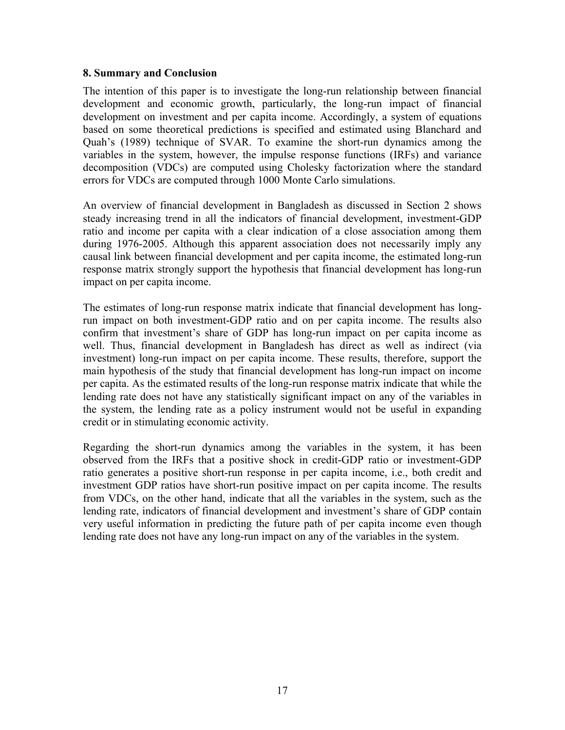### **8. Summary and Conclusion**

The intention of this paper is to investigate the long-run relationship between financial development and economic growth, particularly, the long-run impact of financial development on investment and per capita income. Accordingly, a system of equations based on some theoretical predictions is specified and estimated using Blanchard and Quah's (1989) technique of SVAR. To examine the short-run dynamics among the variables in the system, however, the impulse response functions (IRFs) and variance decomposition (VDCs) are computed using Cholesky factorization where the standard errors for VDCs are computed through 1000 Monte Carlo simulations.

An overview of financial development in Bangladesh as discussed in Section 2 shows steady increasing trend in all the indicators of financial development, investment-GDP ratio and income per capita with a clear indication of a close association among them during 1976-2005. Although this apparent association does not necessarily imply any causal link between financial development and per capita income, the estimated long-run response matrix strongly support the hypothesis that financial development has long-run impact on per capita income.

The estimates of long-run response matrix indicate that financial development has longrun impact on both investment-GDP ratio and on per capita income. The results also confirm that investment's share of GDP has long-run impact on per capita income as well. Thus, financial development in Bangladesh has direct as well as indirect (via investment) long-run impact on per capita income. These results, therefore, support the main hypothesis of the study that financial development has long-run impact on income per capita. As the estimated results of the long-run response matrix indicate that while the lending rate does not have any statistically significant impact on any of the variables in the system, the lending rate as a policy instrument would not be useful in expanding credit or in stimulating economic activity .

Regarding the short-run dynamics among the variables in the system, it has been observed from the IRFs that a positive shock in credit-GDP ratio or investment-GDP ratio generates a positive short-run response in per capita income, i.e., both credit and investment GDP ratios have short-run positive impact on per capita income. The results from VDCs, on the other hand, indicate that all the variables in the system, such as the lending rate, indicators of financial development and investment's share of GDP contain very useful information in predicting the future path of per capita income even though lending rate does not have any long-run impact on any of the variables in the system.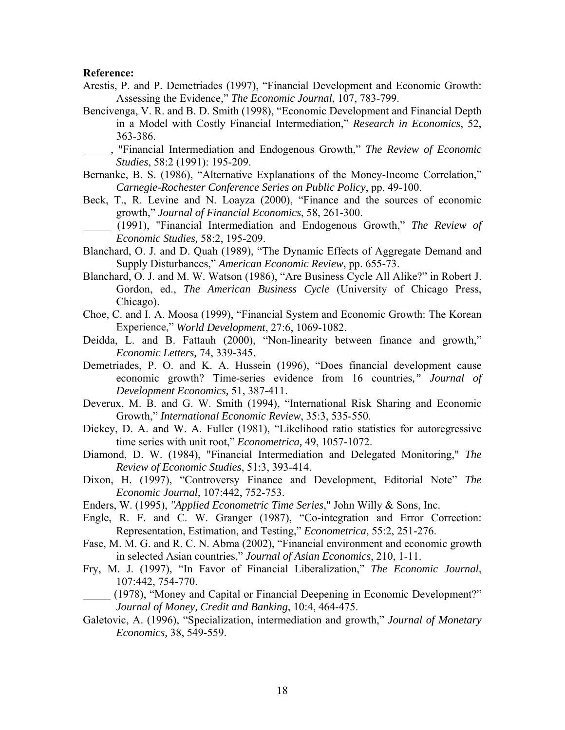#### **Reference:**

- Arestis, P. and P. Demetriades (1997), "Financial Development and Economic Growth: Assessing the Evidence," *The Economic Journal*, 107, 783-799.
- Bencivenga, V. R. and B. D. Smith (1998), "Economic Development and Financial Depth in a Model with Costly Financial Intermediation," *Research in Economics*, 52, 363-386.
- \_\_\_\_\_, "Financial Intermediation and Endogenous Growth," *The Review of Economic Studies*, 58:2 (1991): 195-209.
- Bernanke, B. S. (1986), "Alternative Explanations of the Money-Income Correlation," *Carnegie-Rochester Conference Series on Public Policy*, pp. 49-100.
- Beck, T., R. Levine and N. Loayza (2000), "Finance and the sources of economic growth," *Journal of Financial Economics*, 58, 261-300.
- \_\_\_\_\_ (1991), "Financial Intermediation and Endogenous Growth," *The Review of Economic Studies,* 58:2, 195-209.
- Blanchard, O. J. and D. Quah (1989), "The Dynamic Effects of Aggregate Demand and Supply Disturbances," *American Economic Review*, pp. 655-73.
- Gordon, ed., *The American Business Cycle* (University of Chicago Press, Blanchard, O. J. and M. W. Watson (1986), "Are Business Cycle All Alike?" in Robert J. Chicago).
- Choe, C. and I. A. Moosa (1999), "Financial System and Economic Growth: The Korean Experience," *World Development*, 27:6, 1069-1082.
- Deidda, L. and B. Fattauh (2000), "Non-linearity between finance and growth," *Economic Letters,* 74, 339-345.
- Demetriades, P. O. and K. A. Hussein (1996), "Does financial development cause economic growth? Time-series evidence from 16 countries*," Journal of Development Economics,* 51, 387-411.
- Deverux, M. B. and G. W. Smith (1994), "International Risk Sharing and Economic Growth," *International Economic Review*, 35:3, 535-550.
- Dickey, D. A. and W. A. Fuller (1981), "Likelihood ratio statistics for autoregressive time series with unit root," *Econometrica,* 49, 1057-1072.
- Diamond, D. W. (1984), "Financial Intermediation and Delegated Monitoring," *The Review of Economic Studies*, 51:3, 393-414.
- Dixon, H. (1997), "Controversy Finance and Development, Editorial Note" *The Economic Journal,* 107:442, 752-753.
- Enders, W. (1995), *"Applied Econometric Time Series*," John Willy & Sons, Inc.
- Engle, R. F. and C. W. Granger (1987), "Co-integration and Error Correction: Representation, Estimation, and Testing," *Econometrica*, 55:2, 251-276.
- Fase, M. M. G. and R. C. N. Abma (2002), "Financial environment and economic growth in selected Asian countries," *Journal of Asian Economics*, 210, 1-11.
- ry, M. J. (1997), "In Favor of Financial Liberalization," *The Economic Journal*, F 107:442, 754-770.
- \_\_\_\_\_ (1978), "Money and Capital or Financial Deepening in Economic Development?" *Journal of Money, Credit and Banking*, 10:4, 464-475.
- Galetovic, A. (1996), "Specialization, intermediation and growth," *Journal of Monetary Economics,* 38, 549-559.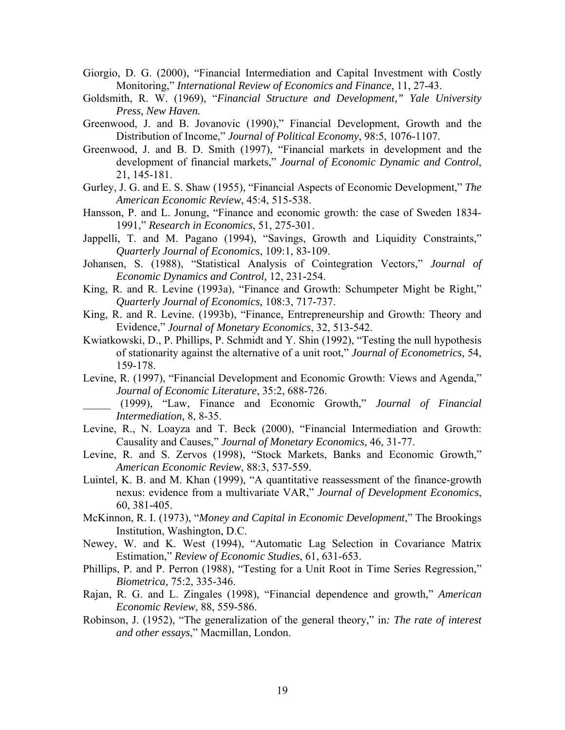- Giorgio, D. G. (2000), "Financial Intermediation and Capital Investment with Costly Monitoring," *International Review of Economics and Finance*, 11, 27-43.
- Goldsmith, R. W. (1969), "Financial Structure and Development," Yale University *Press, New Haven.*
- Greenw ood, J. and B. Jovanovic (1990)," Financial Development, Growth and the Distribution of Income," Journal of Political Economy, 98:5, 1076-1107.
- development of financial markets," Journal of Economic Dynamic and Control, Greenwood, J. and B. D. Smith (1997), "Financial markets in development and the 21, 145-181.
- Gurley, J. G. and E. S. Shaw (1955), "Financial Aspects of Economic Development," The *American Economic Review*, 45:4, 515-538.
- Hansson, P. and L. Jonung, "Finance and economic growth: the case of Sweden 1834-1991," *Research in Economics*, 51, 275-301.
- Jappelli, T. and M. Pagano (1994), "Savings, Growth and Liquidity Constraints," *Quarterly Journal of Economics*, 109:1, 83-109.
- Johansen, S. (1988), "Statistical Analysis of Cointegration Vectors," Journal of *Economic Dynamics and Control,* 12, 231-254.
- King, R . and R. Levine (1993a), "Finance and Growth: Schumpeter Might be Right," *ournal of Economics,* 108:3, 717-737. *Quarterly J*
- Evidence," Journal of Monetary Economics, 32, 513-542. King, R. and R. Levine. (1993b), "Finance, Entrepreneurship and Growth: Theory and
- of stationarity against the alternative of a unit root," *Journal of Econometrics*, 54, Kwiatkowski, D., P. Phillips, P. Schmidt and Y. Shin (1992), "Testing the null hypothesis 159-178.
- Levine , R. (1997), "Financial Development and Economic Growth: Views and Agenda," Journal of Economic Literature, 35:2, 688-726.
- \_\_\_\_\_ (1999), "Law, Finance and Economic Growth," *Journal of Financial Intermediation,* 8, 8-35.
- Causality and Causes," Journal of Monetary Economics, 46, 31-77. Levine, R., N. Loayza and T. Beck (2000), "Financial Intermediation and Growth:
- Levine, R. and S. Zervos (1998), "Stock Markets, Banks and Economic Growth," *American Economic Review*, 88:3, 537-559.
- nexus: evidence from a multivariate VAR," Journal of Development Economics, Luintel, K. B. and M. Khan (1999), "A quantitative reassessment of the finance-growth 60, 381-405.
- McKinnon, R. I. (1973), "*Money and Capital in Economic Development*," The Brookings Institution, Washington, D.C.
- Newey, W. and K. West (1994), "Automatic Lag Selection in Covariance Matrix Estimation," *Review of Economic Studies*, 61, 631-653.
- 5-346. *Biometrica,* 75:2, 33 Phillips, P. and P. Perron (1988), "Testing for a Unit Root in Time Series Regression,"
- Rajan, R. G. and L. Zingales (1998), "Financial dependence and growth," *American Economic Review*, 88, 559-586.
- Robinson, J. (1952), "The generalization of the general theory," in*: The rate of interest and other essays*," Macmillan, London.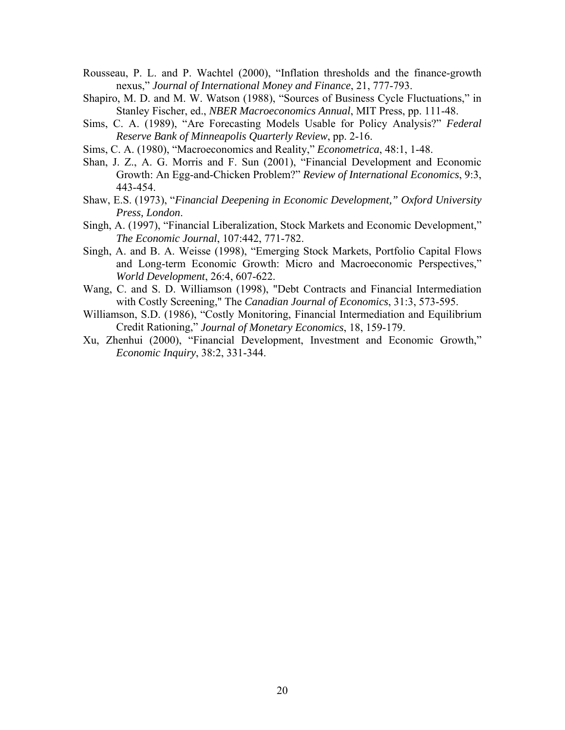- Rousseau, P. L. and P. Wachtel (2000), "Inflation thresholds and the finance-growth nexus," *Journal of International Money and Finance*, 21, 777-793.
- Shapiro, M. D. and M. W. Watson (1988), "Sources of Business Cycle Fluctuations," in Stanley Fischer, ed., *NBER Macroeconomics Annual*, MIT Press, pp. 111-48.
- Sims, C. A. (1989), "Are Forecasting Models Usable for Policy Analysis?" *Federal Reserve Bank of Minneapolis Quarterly Review*, pp. 2-16.
- Sims, C. A. (1980), "Macroeconomics and Reality," *Econometrica*, 48:1, 1-48.
- Shan, J . Z., A. G. Morris and F. Sun (2001), "Financial Development and Economic Growth: An Egg-and-Chicken Problem?" *Review of International Economics*, 9:3, 443-454.
- Shaw, E.S. (1973), "Financial Deepening in Economic Development," Oxford University *Press, London*.
- Singh, A. (1997), "Financial Liberalization, Stock Markets and Economic Development," *The Economic Journal*, 107:442, 771-782.
- Singh, A. and B. A. Weisse (1998), "Emerging Stock Markets, Portfolio Capital Flows and Long-term Economic Growth: Micro and Macroeconomic Perspectives," *World Development*, 26:4, 607-622.
- with Costly Screening," The *Canadian Journal of Economics*, 31:3, 573-595. Wang, C. and S. D. Williamson (1998), "Debt Contracts and Financial Intermediation
- Credit Rationing," Journal of Monetary Economics, 18, 159-179. Williamson, S.D. (1986), "Costly Monitoring, Financial Intermediation and Equilibrium
- Xu, Zhenhui (2000), "Financial Development, Investment and Economic Growth," *Economic Inquiry*, 38:2, 331-344.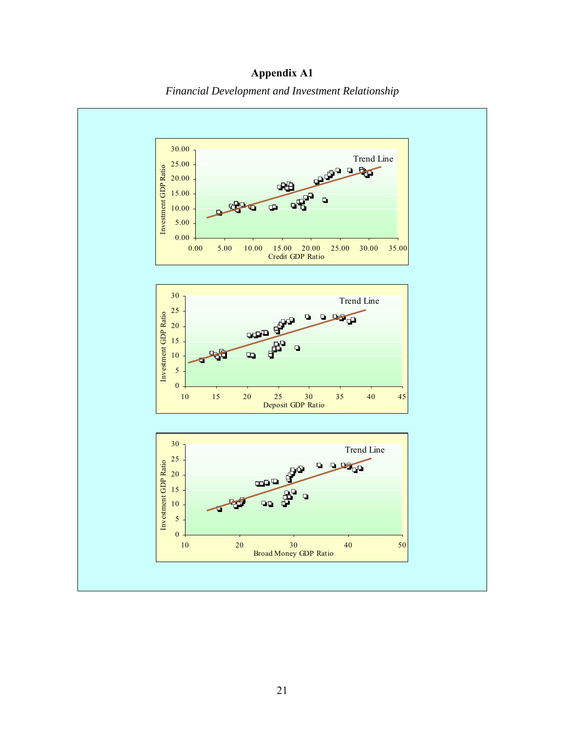

**Appendix A1**  *Financial Development and Investment Relationship*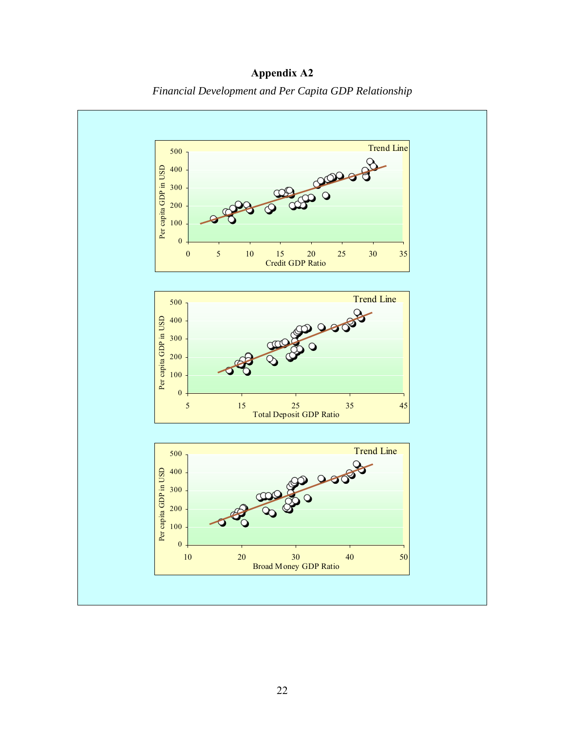

**Appendix A2**  *Financial Development and Per Capita GDP Relationship*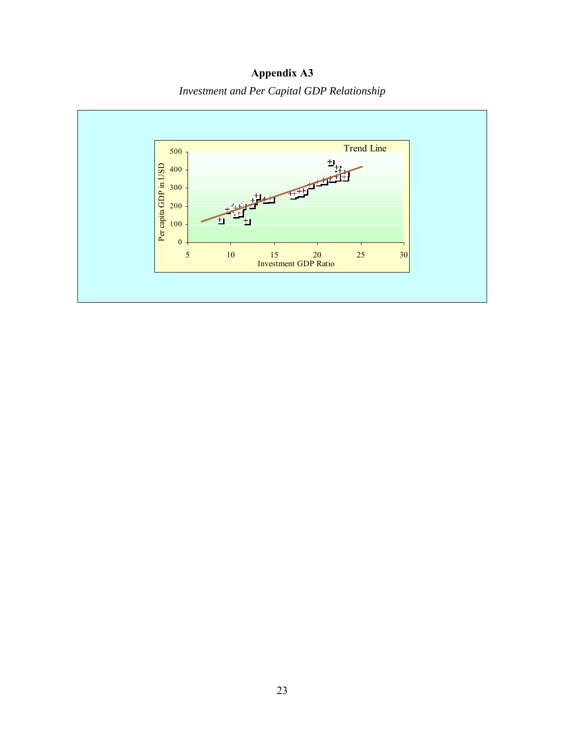**Appendix A3**  *Investment and Per Capital GDP Relationship*